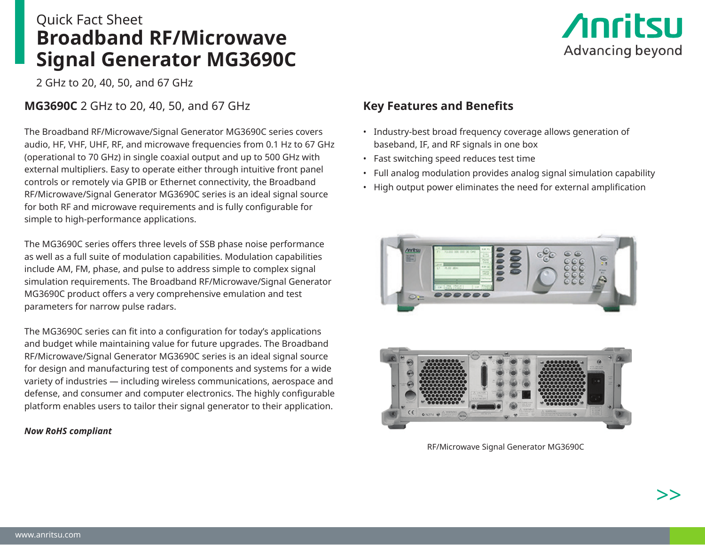# Quick Fact Sheet **Broadband RF/Microwave Signal Generator MG3690C**

2 GHz to 20, 40, 50, and 67 GHz

**MG3690C** 2 GHz to 20, 40, 50, and 67 GHz

The Broadband RF/Microwave/Signal Generator MG3690C series covers audio, HF, VHF, UHF, RF, and microwave frequencies from 0.1 Hz to 67 GHz (operational to 70 GHz) in single coaxial output and up to 500 GHz with external multipliers. Easy to operate either through intuitive front panel controls or remotely via GPIB or Ethernet connectivity, the Broadband RF/Microwave/Signal Generator MG3690C series is an ideal signal source for both RF and microwave requirements and is fully configurable for simple to high-performance applications.

The MG3690C series offers three levels of SSB phase noise performance as well as a full suite of modulation capabilities. Modulation capabilities include AM, FM, phase, and pulse to address simple to complex signal simulation requirements. The Broadband RF/Microwave/Signal Generator MG3690C product offers a very comprehensive emulation and test parameters for narrow pulse radars.

The MG3690C series can fit into a configuration for today's applications and budget while maintaining value for future upgrades. The Broadband RF/Microwave/Signal Generator MG3690C series is an ideal signal source for design and manufacturing test of components and systems for a wide variety of industries — including wireless communications, aerospace and defense, and consumer and computer electronics. The highly configurable platform enables users to tailor their signal generator to their application.

#### *Now RoHS compliant*



## **Key Features and Benefits**

- Industry-best broad frequency coverage allows generation of baseband, IF, and RF signals in one box
- Fast switching speed reduces test time
- Full analog modulation provides analog signal simulation capability
- High output power eliminates the need for external amplification





RF/Microwave Signal Generator MG3690C